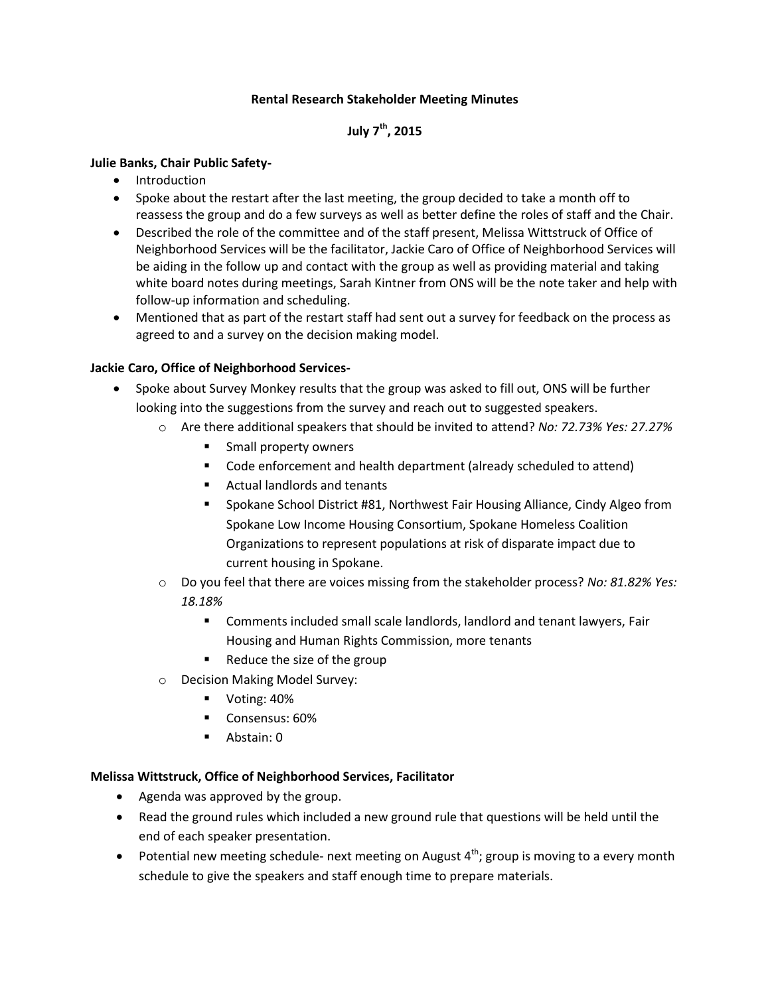## **Rental Research Stakeholder Meeting Minutes**

# **July 7th, 2015**

## **Julie Banks, Chair Public Safety-**

- Introduction
- Spoke about the restart after the last meeting, the group decided to take a month off to reassess the group and do a few surveys as well as better define the roles of staff and the Chair.
- Described the role of the committee and of the staff present, Melissa Wittstruck of Office of Neighborhood Services will be the facilitator, Jackie Caro of Office of Neighborhood Services will be aiding in the follow up and contact with the group as well as providing material and taking white board notes during meetings, Sarah Kintner from ONS will be the note taker and help with follow-up information and scheduling.
- Mentioned that as part of the restart staff had sent out a survey for feedback on the process as agreed to and a survey on the decision making model.

## **Jackie Caro, Office of Neighborhood Services-**

- Spoke about Survey Monkey results that the group was asked to fill out, ONS will be further looking into the suggestions from the survey and reach out to suggested speakers.
	- o Are there additional speakers that should be invited to attend? *No: 72.73% Yes: 27.27%*
		- **Small property owners**
		- Code enforcement and health department (already scheduled to attend)
		- Actual landlords and tenants
		- **Spokane School District #81, Northwest Fair Housing Alliance, Cindy Algeo from** Spokane Low Income Housing Consortium, Spokane Homeless Coalition Organizations to represent populations at risk of disparate impact due to current housing in Spokane.
	- o Do you feel that there are voices missing from the stakeholder process? *No: 81.82% Yes: 18.18%*
		- Comments included small scale landlords, landlord and tenant lawyers, Fair Housing and Human Rights Commission, more tenants
		- $\blacksquare$  Reduce the size of the group
	- o Decision Making Model Survey:
		- Voting: 40%
		- Consensus: 60%
		- Abstain: 0

#### **Melissa Wittstruck, Office of Neighborhood Services, Facilitator**

- Agenda was approved by the group.
- Read the ground rules which included a new ground rule that questions will be held until the end of each speaker presentation.
- Potential new meeting schedule- next meeting on August  $4<sup>th</sup>$ ; group is moving to a every month schedule to give the speakers and staff enough time to prepare materials.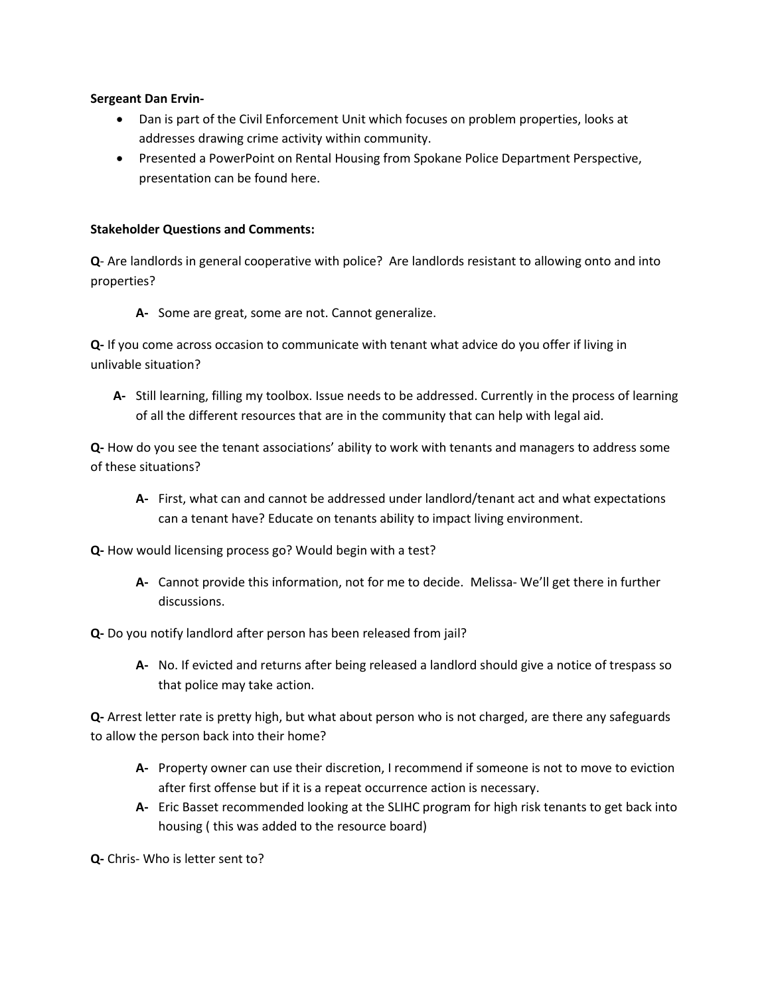#### **Sergeant Dan Ervin-**

- Dan is part of the Civil Enforcement Unit which focuses on problem properties, looks at addresses drawing crime activity within community.
- Presented a PowerPoint on Rental Housing from Spokane Police Department Perspective, presentation can be found here.

## **Stakeholder Questions and Comments:**

**Q**- Are landlords in general cooperative with police? Are landlords resistant to allowing onto and into properties?

**A-** Some are great, some are not. Cannot generalize.

**Q-** If you come across occasion to communicate with tenant what advice do you offer if living in unlivable situation?

**A-** Still learning, filling my toolbox. Issue needs to be addressed. Currently in the process of learning of all the different resources that are in the community that can help with legal aid.

**Q-** How do you see the tenant associations' ability to work with tenants and managers to address some of these situations?

- **A-** First, what can and cannot be addressed under landlord/tenant act and what expectations can a tenant have? Educate on tenants ability to impact living environment.
- **Q-** How would licensing process go? Would begin with a test?
	- **A-** Cannot provide this information, not for me to decide. Melissa- We'll get there in further discussions.

## **Q-** Do you notify landlord after person has been released from jail?

**A-** No. If evicted and returns after being released a landlord should give a notice of trespass so that police may take action.

**Q-** Arrest letter rate is pretty high, but what about person who is not charged, are there any safeguards to allow the person back into their home?

- **A-** Property owner can use their discretion, I recommend if someone is not to move to eviction after first offense but if it is a repeat occurrence action is necessary.
- **A-** Eric Basset recommended looking at the SLIHC program for high risk tenants to get back into housing ( this was added to the resource board)

**Q-** Chris- Who is letter sent to?